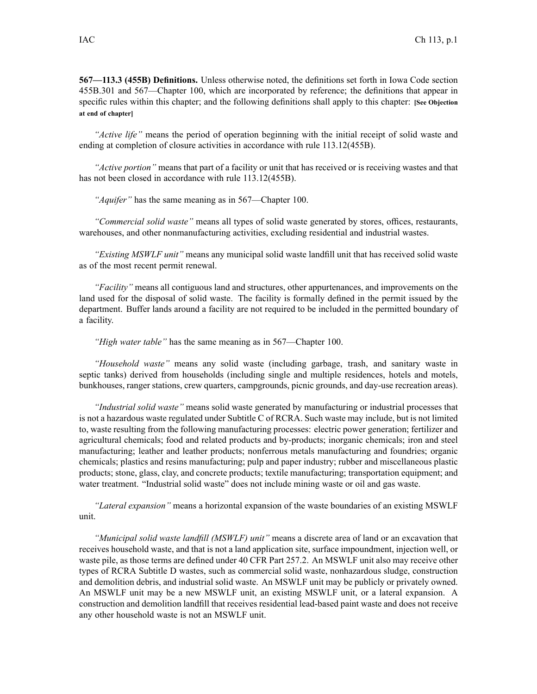**567—113.3 (455B) Definitions.** Unless otherwise noted, the definitions set forth in Iowa Code section 455B.301 and 567—Chapter 100, which are incorporated by reference; the definitions that appear in specific rules within this chapter; and the following definitions shall apply to this chapter: **[See Objection at end of chapter]**

*"Active life"* means the period of operation beginning with the initial receipt of solid waste and ending at completion of closure activities in accordance with rule 113.12(455B).

*"Active portion"* means that par<sup>t</sup> of <sup>a</sup> facility or unit that has received or is receiving wastes and that has not been closed in accordance with rule  $113.12(455B)$ .

*"Aquifer"* has the same meaning as in 567—Chapter 100.

*"Commercial solid waste"* means all types of solid waste generated by stores, offices, restaurants, warehouses, and other nonmanufacturing activities, excluding residential and industrial wastes.

*"Existing MSWLF unit"* means any municipal solid waste landfill unit that has received solid waste as of the most recent permit renewal.

*"Facility"* means all contiguous land and structures, other appurtenances, and improvements on the land used for the disposal of solid waste. The facility is formally defined in the permit issued by the department. Buffer lands around <sup>a</sup> facility are not required to be included in the permitted boundary of <sup>a</sup> facility.

*"High water table"* has the same meaning as in 567—Chapter 100.

*"Household waste"* means any solid waste (including garbage, trash, and sanitary waste in septic tanks) derived from households (including single and multiple residences, hotels and motels, bunkhouses, ranger stations, crew quarters, campgrounds, picnic grounds, and day-use recreation areas).

*"Industrial solid waste"* means solid waste generated by manufacturing or industrial processes that is not <sup>a</sup> hazardous waste regulated under Subtitle C of RCRA. Such waste may include, but is not limited to, waste resulting from the following manufacturing processes: electric power generation; fertilizer and agricultural chemicals; food and related products and by-products; inorganic chemicals; iron and steel manufacturing; leather and leather products; nonferrous metals manufacturing and foundries; organic chemicals; plastics and resins manufacturing; pulp and paper industry; rubber and miscellaneous plastic products; stone, glass, clay, and concrete products; textile manufacturing; transportation equipment; and water treatment. "Industrial solid waste" does not include mining waste or oil and gas waste.

*"Lateral expansion"* means <sup>a</sup> horizontal expansion of the waste boundaries of an existing MSWLF unit.

*"Municipal solid waste landfill (MSWLF) unit"* means <sup>a</sup> discrete area of land or an excavation that receives household waste, and that is not <sup>a</sup> land application site, surface impoundment, injection well, or waste pile, as those terms are defined under 40 CFR Part 257.2. An MSWLF unit also may receive other types of RCRA Subtitle D wastes, such as commercial solid waste, nonhazardous sludge, construction and demolition debris, and industrial solid waste. An MSWLF unit may be publicly or privately owned. An MSWLF unit may be <sup>a</sup> new MSWLF unit, an existing MSWLF unit, or <sup>a</sup> lateral expansion. A construction and demolition landfill that receives residential lead-based paint waste and does not receive any other household waste is not an MSWLF unit.